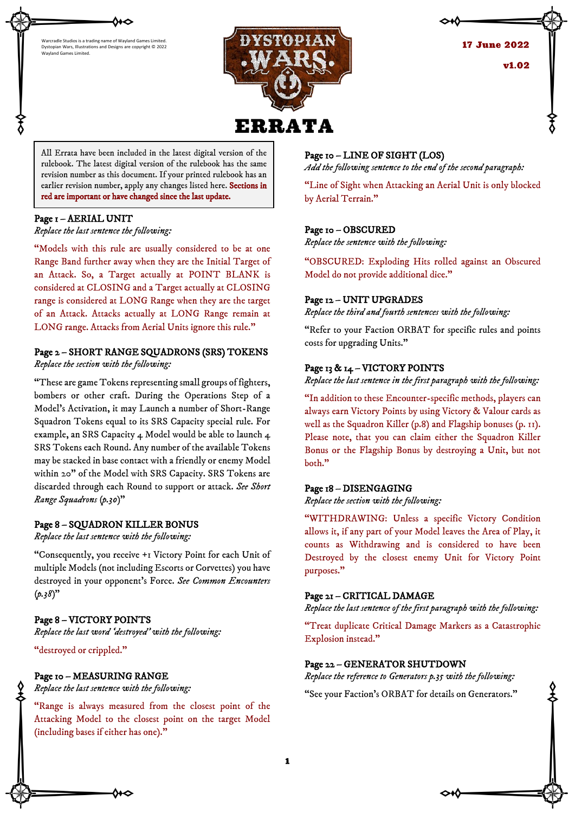



**17 June 2022** v1.02

All Errata have been included in the latest digital version of the rulebook. The latest digital version of the rulebook has the same revision number as this document. If your printed rulebook has an earlier revision number, apply any changes listed here. Sections in red are important or have changed since the last update.

### Page 1 – AERIAL UNIT

֚֬֕

*Replace the last sentence the following:*

"Models with this rule are usually considered to be at one Range Band further away when they are the Initial Target of an Attack. So, a Target actually at POINT BLANK is considered at CLOSING and a Target actually at CLOSING range is considered at LONG Range when they are the target of an Attack. Attacks actually at LONG Range remain at LONG range. Attacks from Aerial Units ignore this rule."

# Page 2 – SHORT RANGE SQUADRONS (SRS) TOKENS

*Replace the section with the following:*

"These are game Tokens representing small groups of fighters, bombers or other craft. During the Operations Step of a Model's Activation, it may Launch a number of Short-Range Squadron Tokens equal to its SRS Capacity special rule. For example, an SRS Capacity 4 Model would be able to launch 4 SRS Tokens each Round. Any number of the available Tokens may be stacked in base contact with a friendly or enemy Model within 20" of the Model with SRS Capacity. SRS Tokens are discarded through each Round to support or attack. *See Short Range Squadrons (p.30)*"

# Page 8 – SQUADRON KILLER BONUS

*Replace the last sentence with the following:*

"Consequently, you receive +1 Victory Point for each Unit of multiple Models (not including Escorts or Corvettes) you have destroyed in your opponent's Force. *See Common Encounters (p.38)*"

# Page 8 – VICTORY POINTS

*Replace the last word 'destroyed' with the following:*

"destroyed or crippled."

### Page 10 – MEASURING RANGE

*Replace the last sentence with the following:*

"Range is always measured from the closest point of the Attacking Model to the closest point on the target Model (including bases if either has one)."

# Page 10 – LINE OF SIGHT (LOS)

*Add the following sentence to the end of the second paragraph:*

"Line of Sight when Attacking an Aerial Unit is only blocked by Aerial Terrain."

# Page 10 – OBSCURED

*Replace the sentence with the following:*

"OBSCURED: Exploding Hits rolled against an Obscured Model do not provide additional dice."

# Page 12 – UNIT UPGRADES

*Replace the third and fourth sentences with the following:*

"Refer to your Faction ORBAT for specific rules and points costs for upgrading Units."

# Page 13 & 14 – VICTORY POINTS

*Replace the last sentence in the first paragraph with the following:*

"In addition to these Encounter-specific methods, players can always earn Victory Points by using Victory & Valour cards as well as the Squadron Killer (p.8) and Flagship bonuses (p. 11). Please note, that you can claim either the Squadron Killer Bonus or the Flagship Bonus by destroying a Unit, but not both."

### Page 18 – DISENGAGING

*Replace the section with the following:*

"WITHDRAWING: Unless a specific Victory Condition allows it, if any part of your Model leaves the Area of Play, it counts as Withdrawing and is considered to have been Destroyed by the closest enemy Unit for Victory Point purposes."

# Page 21 – CRITICAL DAMAGE

*Replace the last sentence of the first paragraph with the following:*

"Treat duplicate Critical Damage Markers as a Catastrophic Explosion instead."

# Page 22 – GENERATOR SHUTDOWN

*Replace the reference to Generators p.35 with the following:*

"See your Faction's ORBAT for details on Generators."